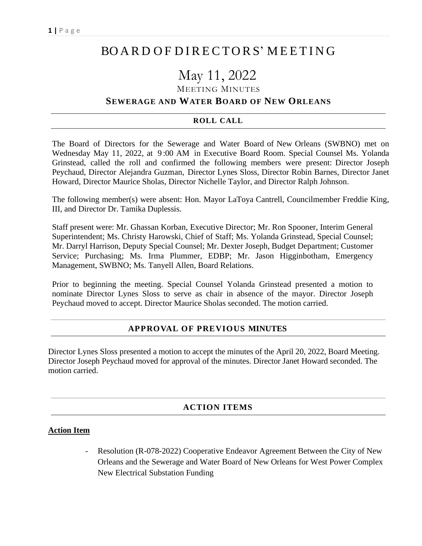# BO A R D O F D I RE CTO RS' M EET I N G

# May 11, 2022

### MEETING MINUTES

## **SEWERAGE AND WATER BOARD OF NEW ORLEANS**

#### **ROLL CALL**

The Board of Directors for the Sewerage and Water Board of New Orleans (SWBNO) met on Wednesday May 11, 2022, at 9 :00 AM in Executive Board Room. Special Counsel Ms. Yolanda Grinstead, called the roll and confirmed the following members were present: Director Joseph Peychaud, Director Alejandra Guzman, Director Lynes Sloss, Director Robin Barnes, Director Janet Howard, Director Maurice Sholas, Director Nichelle Taylor, and Director Ralph Johnson.

The following member(s) were absent: Hon. Mayor LaToya Cantrell, Councilmember Freddie King, III, and Director Dr. Tamika Duplessis.

Staff present were: Mr. Ghassan Korban, Executive Director; Mr. Ron Spooner, Interim General Superintendent; Ms. Christy Harowski, Chief of Staff; Ms. Yolanda Grinstead, Special Counsel; Mr. Darryl Harrison, Deputy Special Counsel; Mr. Dexter Joseph, Budget Department; Customer Service; Purchasing; Ms. Irma Plummer, EDBP; Mr. Jason Higginbotham, Emergency Management, SWBNO; Ms. Tanyell Allen, Board Relations.

Prior to beginning the meeting. Special Counsel Yolanda Grinstead presented a motion to nominate Director Lynes Sloss to serve as chair in absence of the mayor. Director Joseph Peychaud moved to accept. Director Maurice Sholas seconded. The motion carried.

## **APPROVAL OF PREVIOUS MINUTES**

Director Lynes Sloss presented a motion to accept the minutes of the April 20, 2022, Board Meeting. Director Joseph Peychaud moved for approval of the minutes. Director Janet Howard seconded. The motion carried.

#### **ACTION ITEMS**

#### **Action Item**

Resolution (R-078-2022) Cooperative Endeavor Agreement Between the City of New Orleans and the Sewerage and Water Board of New Orleans for West Power Complex New Electrical Substation Funding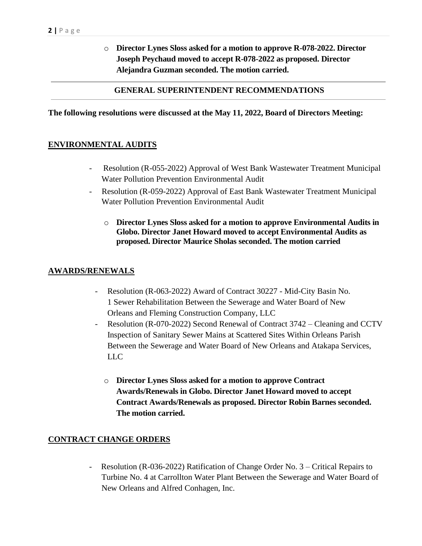o **Director Lynes Sloss asked for a motion to approve R-078-2022. Director Joseph Peychaud moved to accept R-078-2022 as proposed. Director Alejandra Guzman seconded. The motion carried.**

### **GENERAL SUPERINTENDENT RECOMMENDATIONS**

#### **The following resolutions were discussed at the May 11, 2022, Board of Directors Meeting:**

#### **ENVIRONMENTAL AUDITS**

- Resolution (R-055-2022) Approval of West Bank Wastewater Treatment Municipal Water Pollution Prevention Environmental Audit
- Resolution (R-059-2022) Approval of East Bank Wastewater Treatment Municipal Water Pollution Prevention Environmental Audit
	- o **Director Lynes Sloss asked for a motion to approve Environmental Audits in Globo. Director Janet Howard moved to accept Environmental Audits as proposed. Director Maurice Sholas seconded. The motion carried**

#### **AWARDS/RENEWALS**

- Resolution (R-063-2022) Award of Contract 30227 Mid-City Basin No. 1 Sewer Rehabilitation Between the Sewerage and Water Board of New Orleans and Fleming Construction Company, LLC
- Resolution (R-070-2022) Second Renewal of Contract 3742 Cleaning and CCTV Inspection of Sanitary Sewer Mains at Scattered Sites Within Orleans Parish Between the Sewerage and Water Board of New Orleans and Atakapa Services, LLC
	- o **Director Lynes Sloss asked for a motion to approve Contract Awards/Renewals in Globo. Director Janet Howard moved to accept Contract Awards/Renewals as proposed. Director Robin Barnes seconded. The motion carried.**

#### **CONTRACT CHANGE ORDERS**

Resolution (R-036-2022) Ratification of Change Order No. 3 – Critical Repairs to Turbine No. 4 at Carrollton Water Plant Between the Sewerage and Water Board of New Orleans and Alfred Conhagen, Inc.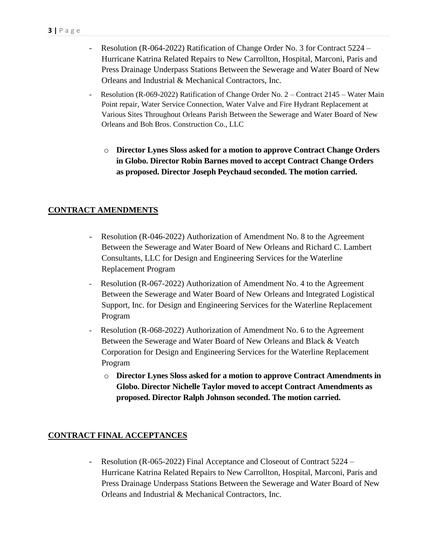- Resolution (R-064-2022) Ratification of Change Order No. 3 for Contract 5224 Hurricane Katrina Related Repairs to New Carrollton, Hospital, Marconi, Paris and Press Drainage Underpass Stations Between the Sewerage and Water Board of New Orleans and Industrial & Mechanical Contractors, Inc.
- Resolution (R-069-2022) Ratification of Change Order No. 2 Contract 2145 Water Main Point repair, Water Service Connection, Water Valve and Fire Hydrant Replacement at Various Sites Throughout Orleans Parish Between the Sewerage and Water Board of New Orleans and Boh Bros. Construction Co., LLC
	- o **Director Lynes Sloss asked for a motion to approve Contract Change Orders in Globo. Director Robin Barnes moved to accept Contract Change Orders as proposed. Director Joseph Peychaud seconded. The motion carried.**

## **CONTRACT AMENDMENTS**

- Resolution (R-046-2022) Authorization of Amendment No. 8 to the Agreement Between the Sewerage and Water Board of New Orleans and Richard C. Lambert Consultants, LLC for Design and Engineering Services for the Waterline Replacement Program
- Resolution (R-067-2022) Authorization of Amendment No. 4 to the Agreement Between the Sewerage and Water Board of New Orleans and Integrated Logistical Support, Inc. for Design and Engineering Services for the Waterline Replacement Program
- Resolution (R-068-2022) Authorization of Amendment No. 6 to the Agreement Between the Sewerage and Water Board of New Orleans and Black & Veatch Corporation for Design and Engineering Services for the Waterline Replacement Program
	- o **Director Lynes Sloss asked for a motion to approve Contract Amendments in Globo. Director Nichelle Taylor moved to accept Contract Amendments as proposed. Director Ralph Johnson seconded. The motion carried.**

## **CONTRACT FINAL ACCEPTANCES**

Resolution (R-065-2022) Final Acceptance and Closeout of Contract 5224 – Hurricane Katrina Related Repairs to New Carrollton, Hospital, Marconi, Paris and Press Drainage Underpass Stations Between the Sewerage and Water Board of New Orleans and Industrial & Mechanical Contractors, Inc.